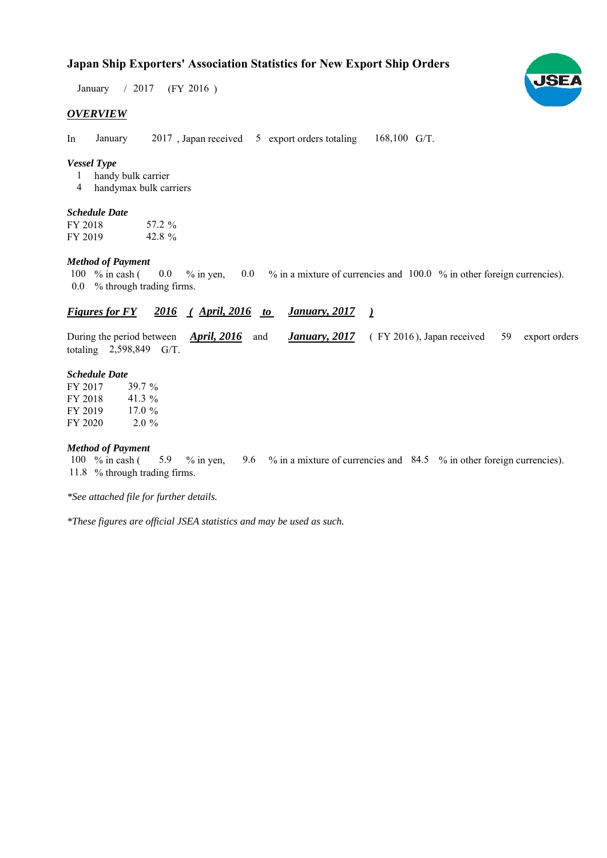## **Japan Ship Exporters' Association Statistics for New Export Ship Orders**

January / 2017 (FY 2016)

#### *OVERVIEW*

In January  $2017$ , Japan received 5 export orders totaling  $168,100$  G/T. January

#### *Vessel Type*

handy bulk carrier 1

handymax bulk carriers 4

#### *Schedule Date*

FY 2018 FY 2019 57.2 42.8 %

#### *Method of Payment*

% in cash ( $\ 0.0\ 8$  in yen,  $\ 0.0\ 8$  in a mixture of currencies and  $\ 100.0\ 8$  in other foreign currencies). % through trading firms. 0.0 100  $\%$  in cash (  $0.0 \frac{\%}{\%}$  in yen,

#### *<u>Figures for FY 2016 (April, 2016 to January, 2017)</u> January, 2017*

During the period between *April, 2016* and *January, 2017* (FY 2016), Japan received 59 export orders totaling  $2,598,849$  G/T. January, 2017 (FY 2016), Japan received 59

#### *Schedule Date*

FY 2017 FY 2018 FY 2019 FY 2020  $2.0\%$ 41.3 17.0 % 39.7 %

#### *Method of Payment*

% in cash ( $\frac{5.9}{8}$  % in yen,  $\frac{9.6}{8}$  % in a mixture of currencies and  $\frac{84.5}{8}$  % in other foreign currencies). % through trading firms. 11.8 100 % in cash  $(5.9 \% \text{ in yen})$ 

*\*See attached file for further details.*

*\*These figures are official JSEA statistics and may be used as such.*

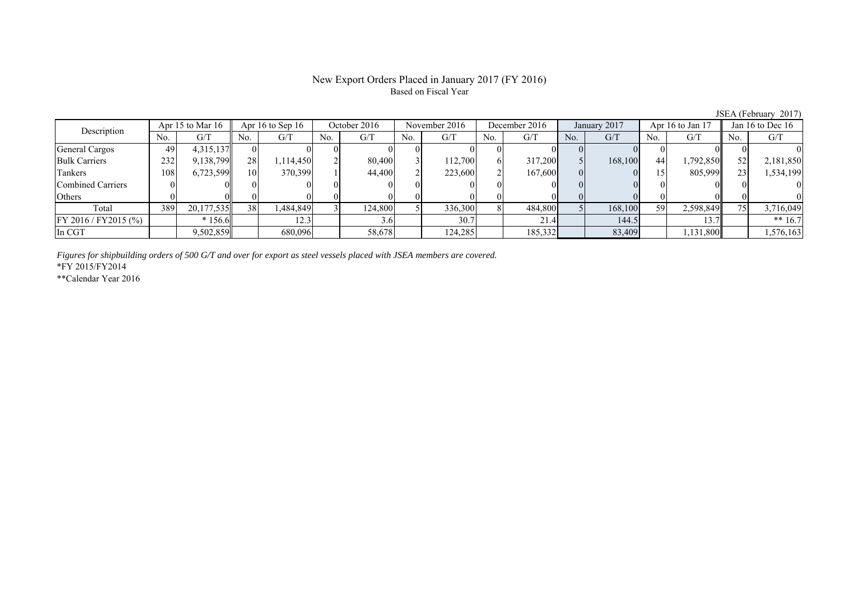#### New Export Orders Placed in January 2017 (FY 2016) Based on Fiscal Year

No. G/T No. G/T No. G/T No. G/T No. G/T No. G/T No. G/T No. G/T General Cargos 49 4,315,137 0 0 0 0 0 0 0 0 0 0 0 0 0 0 Bulk Carriers 1 232 9,138,799 28 1,114,450 2 80,400 3 112,700 6 317,200 5 168,100 44 1,792,850 52 2,181,850 Tankers | 108 | 6,723,599 | 10 | 370,399 | 1 | 44,400 | 2| 223,600 | 2| 167,600 | 0 | 0 | 15 | 805,999 | 23 | 1,534,199 Combined Carriers 0 0 0 0 0 0 0 0 0 0 0 0 0 0 0 0 Others | 0 | 0|| 0 | 0| 0| 0| 0| 0| 0| 0| 0| 0| 0 Total 389 20,177,535 38 1,484,849 3 124,800 5 336,300 8 484,800 5 168,100 59 2,598,849 75 3,716,049 FY 2016 / FY2015 (%) \* 156.6 12.3 12.3 3.6 30.7 21.4 144.5 13.7 \* 13.7 \* 16.7 In CGT | | 9,502,859|| | 680,096| | 58,678| | 124,285| | 185,332| | 83,409| | 1,131,800|| | 1,576,163 Apr 15 to Mar 16 Apr 16 to Sep 16 October 2016 November 2016 Jan 16 to Dec 16 Description December 2016 January 2017 Apr 16 to Jan 17

*Figures for shipbuilding orders of 500 G/T and over for export as steel vessels placed with JSEA members are covered.*

\*FY 2015/FY2014

\*\*Calendar Year 2016

JSEA (February 2017)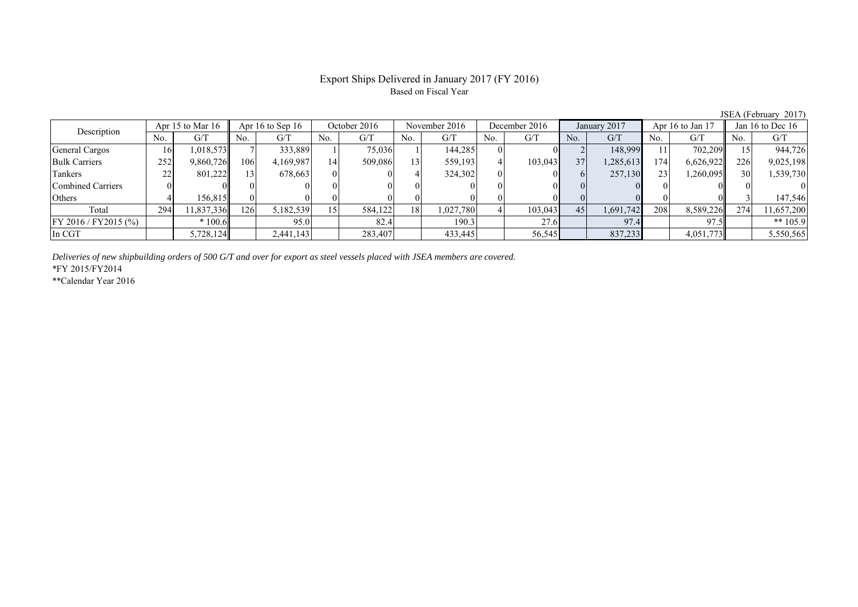### Export Ships Delivered in January 2017 (FY 2016) Based on Fiscal Year

No. G/T No. G/T No. G/T No. G/T No. G/T No. G/T No. G/T No. G/T General Cargos ( 16 1,018,573 7 333,889 1 75,036 1 144,285 0 0 1 2 148,999 11 702,209 15 944,726 Bulk Carriers 252 9,860,726 106 4,169,987 14 509,086 13 559,193 4 103,043 37 1,285,613 174 6,626,922 226 9,025,198 Tankers | 22 | 801,222|| 13| 678,663 | 0| 4 | 324,302 | 0| 6 | 677,130 | 23 | 1,260,095 || 30 | 1,539,730 Combined Carriers 0 0 0 0 0 0 0 0 0 0 0 0 0 0 0 0 Others | 4 | 156,815 || 0 | 0 | 0 | 0 | 0 | 0 | 0 | 0 | 0 | 3 | 147,546 Total 294 11,837,336 126 5,182,539 15 584,122 18 1,027,780 4 103,043 45 1,691,742 208 8,589,226 274 11,657,200 FY 2016 / FY2015 (%) \* 100.6 95.0 82.4 190.3 27.6 97.4 97.5 \*\* 105.9 In CGT 5,728,124 2,441,143 283,407 433,445 56,545 837,233 4,051,773 5,550,565 Description Apr 15 to Mar 16 Apr 16 to Sep 16 October 2016 November 2016 December 2016 January 2017 Apr 16 to Jan 17 Jan 16 to Dec 16

*Deliveries of new shipbuilding orders of 500 G/T and over for export as steel vessels placed with JSEA members are covered.*

\*FY 2015/FY2014

\*\*Calendar Year 2016

JSEA (February 2017)